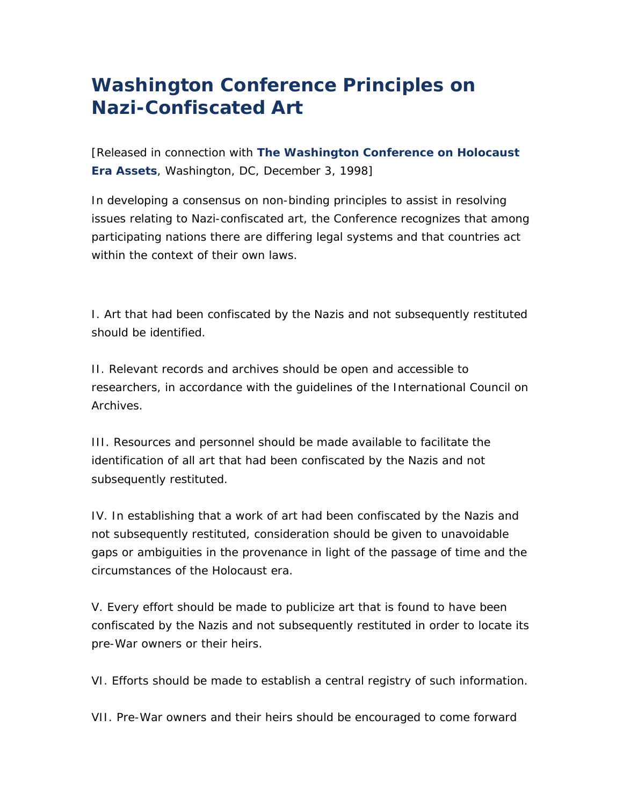## **Washington Conference Principles on Nazi-Confiscated Art**

[*Released in connection with The Washington Conference on Holocaust Era Assets, Washington, DC, December 3, 1998*]

In developing a consensus on non-binding principles to assist in resolving issues relating to Nazi-confiscated art, the Conference recognizes that among participating nations there are differing legal systems and that countries act within the context of their own laws.

I. Art that had been confiscated by the Nazis and not subsequently restituted should be identified.

II. Relevant records and archives should be open and accessible to researchers, in accordance with the guidelines of the International Council on Archives.

III. Resources and personnel should be made available to facilitate the identification of all art that had been confiscated by the Nazis and not subsequently restituted.

IV. In establishing that a work of art had been confiscated by the Nazis and not subsequently restituted, consideration should be given to unavoidable gaps or ambiguities in the provenance in light of the passage of time and the circumstances of the Holocaust era.

V. Every effort should be made to publicize art that is found to have been confiscated by the Nazis and not subsequently restituted in order to locate its pre-War owners or their heirs.

VI. Efforts should be made to establish a central registry of such information.

VII. Pre-War owners and their heirs should be encouraged to come forward